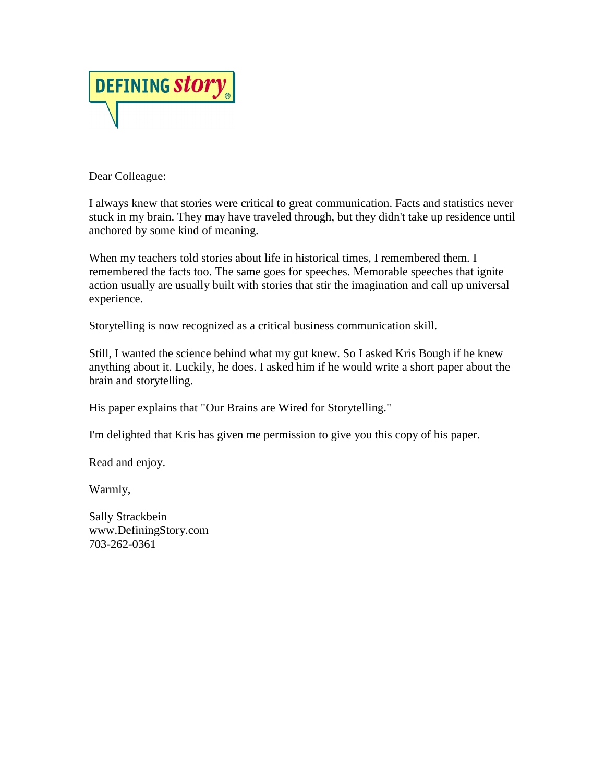

Dear Colleague:

I always knew that stories were critical to great communication. Facts and statistics never stuck in my brain. They may have traveled through, but they didn't take up residence until anchored by some kind of meaning.

When my teachers told stories about life in historical times, I remembered them. I remembered the facts too. The same goes for speeches. Memorable speeches that ignite action usually are usually built with stories that stir the imagination and call up universal experience.

Storytelling is now recognized as a critical business communication skill.

Still, I wanted the science behind what my gut knew. So I asked Kris Bough if he knew anything about it. Luckily, he does. I asked him if he would write a short paper about the brain and storytelling.

His paper explains that "Our Brains are Wired for Storytelling."

I'm delighted that Kris has given me permission to give you this copy of his paper.

Read and enjoy.

Warmly,

Sally Strackbein www.DefiningStory.com 703-262-0361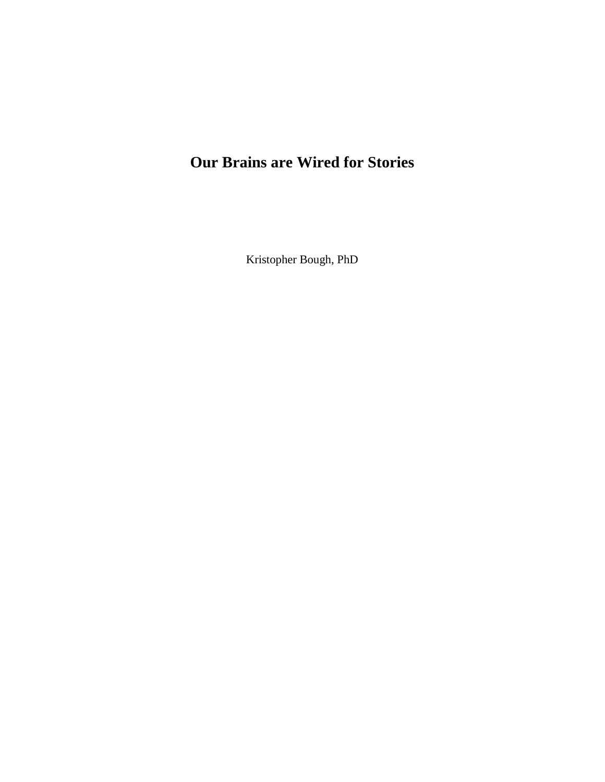# **Our Brains are Wired for Stories**

Kristopher Bough, PhD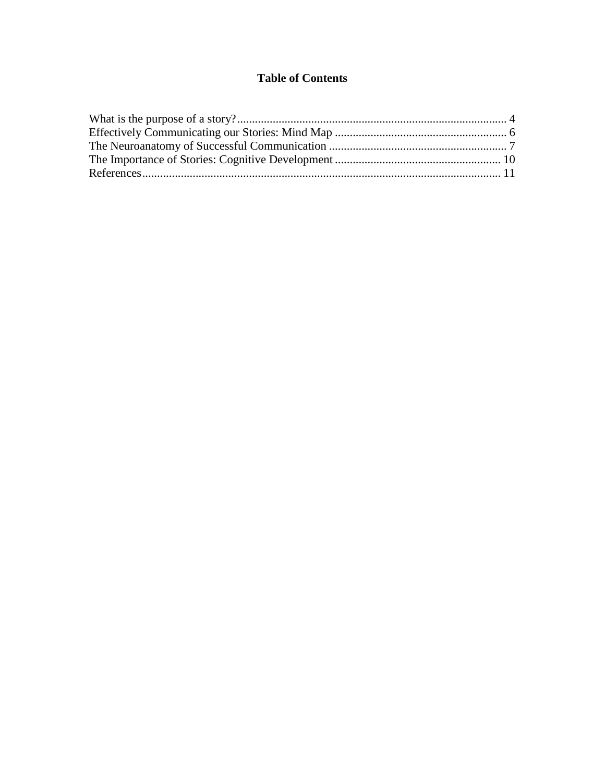# **Table of Contents**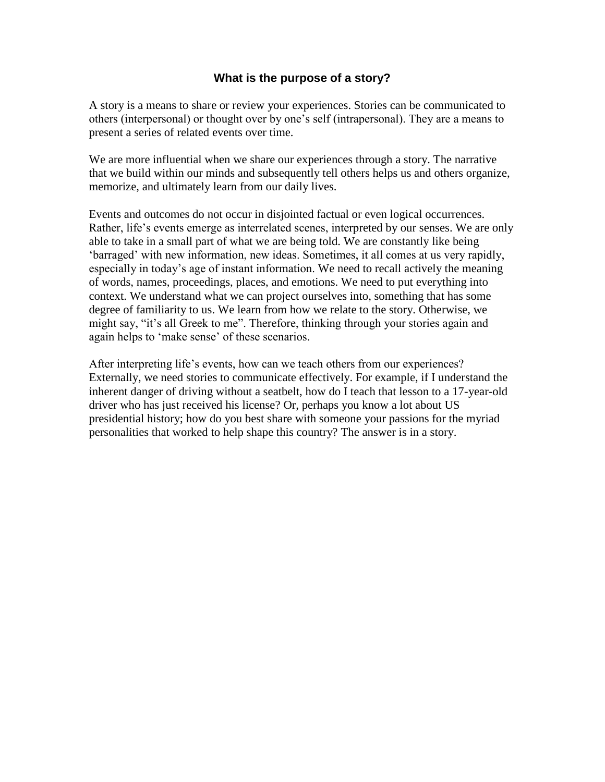# **What is the purpose of a story?**

<span id="page-3-0"></span>A story is a means to share or review your experiences. Stories can be communicated to others (interpersonal) or thought over by one"s self (intrapersonal). They are a means to present a series of related events over time.

We are more influential when we share our experiences through a story. The narrative that we build within our minds and subsequently tell others helps us and others organize, memorize, and ultimately learn from our daily lives.

Events and outcomes do not occur in disjointed factual or even logical occurrences. Rather, life's events emerge as interrelated scenes, interpreted by our senses. We are only able to take in a small part of what we are being told. We are constantly like being "barraged" with new information, new ideas. Sometimes, it all comes at us very rapidly, especially in today"s age of instant information. We need to recall actively the meaning of words, names, proceedings, places, and emotions. We need to put everything into context. We understand what we can project ourselves into, something that has some degree of familiarity to us. We learn from how we relate to the story. Otherwise, we might say, "it's all Greek to me". Therefore, thinking through your stories again and again helps to "make sense" of these scenarios.

After interpreting life's events, how can we teach others from our experiences? Externally, we need stories to communicate effectively. For example, if I understand the inherent danger of driving without a seatbelt, how do I teach that lesson to a 17-year-old driver who has just received his license? Or, perhaps you know a lot about US presidential history; how do you best share with someone your passions for the myriad personalities that worked to help shape this country? The answer is in a story.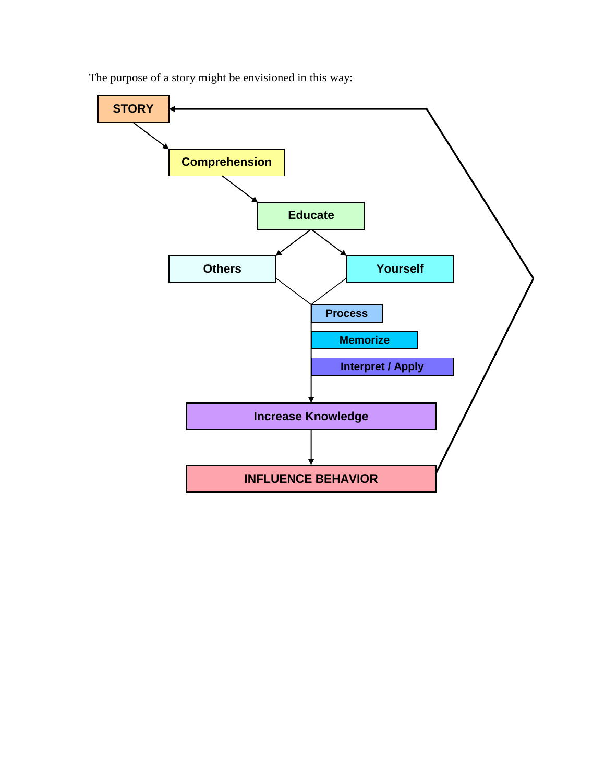

The purpose of a story might be envisioned in this way: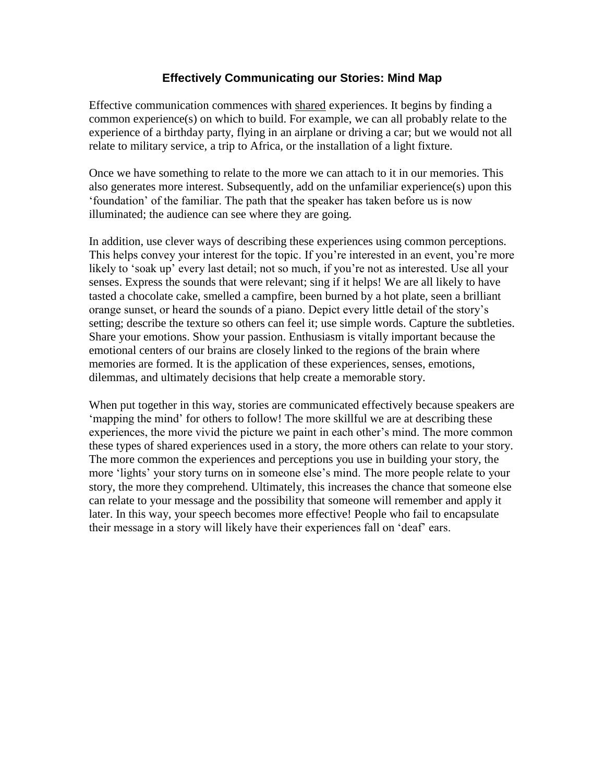# **Effectively Communicating our Stories: Mind Map**

<span id="page-5-0"></span>Effective communication commences with shared experiences. It begins by finding a common experience(s) on which to build. For example, we can all probably relate to the experience of a birthday party, flying in an airplane or driving a car; but we would not all relate to military service, a trip to Africa, or the installation of a light fixture.

Once we have something to relate to the more we can attach to it in our memories. This also generates more interest. Subsequently, add on the unfamiliar experience(s) upon this "foundation" of the familiar. The path that the speaker has taken before us is now illuminated; the audience can see where they are going.

In addition, use clever ways of describing these experiences using common perceptions. This helps convey your interest for the topic. If you"re interested in an event, you"re more likely to 'soak up' every last detail; not so much, if you're not as interested. Use all your senses. Express the sounds that were relevant; sing if it helps! We are all likely to have tasted a chocolate cake, smelled a campfire, been burned by a hot plate, seen a brilliant orange sunset, or heard the sounds of a piano. Depict every little detail of the story"s setting; describe the texture so others can feel it; use simple words. Capture the subtleties. Share your emotions. Show your passion. Enthusiasm is vitally important because the emotional centers of our brains are closely linked to the regions of the brain where memories are formed. It is the application of these experiences, senses, emotions, dilemmas, and ultimately decisions that help create a memorable story.

When put together in this way, stories are communicated effectively because speakers are "mapping the mind" for others to follow! The more skillful we are at describing these experiences, the more vivid the picture we paint in each other's mind. The more common these types of shared experiences used in a story, the more others can relate to your story. The more common the experiences and perceptions you use in building your story, the more 'lights' your story turns on in someone else's mind. The more people relate to your story, the more they comprehend. Ultimately, this increases the chance that someone else can relate to your message and the possibility that someone will remember and apply it later. In this way, your speech becomes more effective! People who fail to encapsulate their message in a story will likely have their experiences fall on "deaf" ears.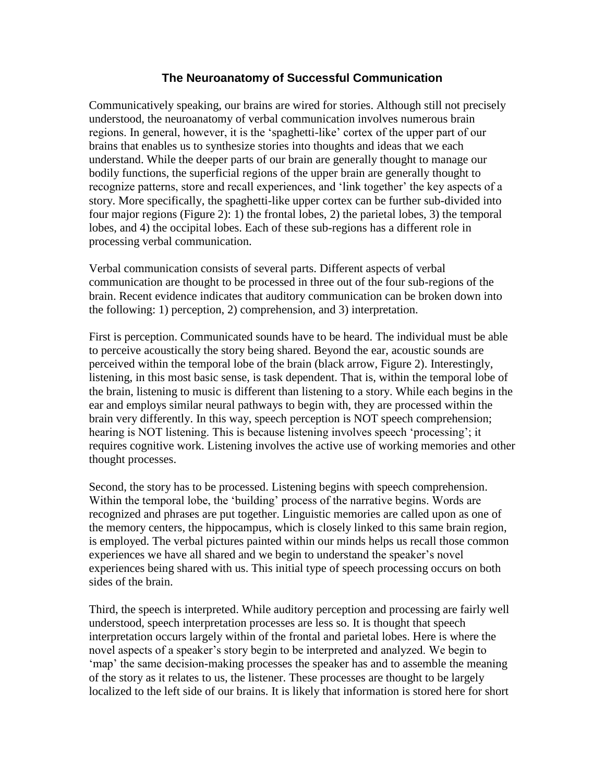### **The Neuroanatomy of Successful Communication**

<span id="page-6-0"></span>Communicatively speaking, our brains are wired for stories. Although still not precisely understood, the neuroanatomy of verbal communication involves numerous brain regions. In general, however, it is the "spaghetti-like" cortex of the upper part of our brains that enables us to synthesize stories into thoughts and ideas that we each understand. While the deeper parts of our brain are generally thought to manage our bodily functions, the superficial regions of the upper brain are generally thought to recognize patterns, store and recall experiences, and "link together" the key aspects of a story. More specifically, the spaghetti-like upper cortex can be further sub-divided into four major regions (Figure 2): 1) the frontal lobes, 2) the parietal lobes, 3) the temporal lobes, and 4) the occipital lobes. Each of these sub-regions has a different role in processing verbal communication.

Verbal communication consists of several parts. Different aspects of verbal communication are thought to be processed in three out of the four sub-regions of the brain. Recent evidence indicates that auditory communication can be broken down into the following: 1) perception, 2) comprehension, and 3) interpretation.

First is perception. Communicated sounds have to be heard. The individual must be able to perceive acoustically the story being shared. Beyond the ear, acoustic sounds are perceived within the temporal lobe of the brain (black arrow, Figure 2). Interestingly, listening, in this most basic sense, is task dependent. That is, within the temporal lobe of the brain, listening to music is different than listening to a story. While each begins in the ear and employs similar neural pathways to begin with, they are processed within the brain very differently. In this way, speech perception is NOT speech comprehension; hearing is NOT listening. This is because listening involves speech "processing"; it requires cognitive work. Listening involves the active use of working memories and other thought processes.

Second, the story has to be processed. Listening begins with speech comprehension. Within the temporal lobe, the "building" process of the narrative begins. Words are recognized and phrases are put together. Linguistic memories are called upon as one of the memory centers, the hippocampus, which is closely linked to this same brain region, is employed. The verbal pictures painted within our minds helps us recall those common experiences we have all shared and we begin to understand the speaker"s novel experiences being shared with us. This initial type of speech processing occurs on both sides of the brain.

Third, the speech is interpreted. While auditory perception and processing are fairly well understood, speech interpretation processes are less so. It is thought that speech interpretation occurs largely within of the frontal and parietal lobes. Here is where the novel aspects of a speaker"s story begin to be interpreted and analyzed. We begin to 'map' the same decision-making processes the speaker has and to assemble the meaning of the story as it relates to us, the listener. These processes are thought to be largely localized to the left side of our brains. It is likely that information is stored here for short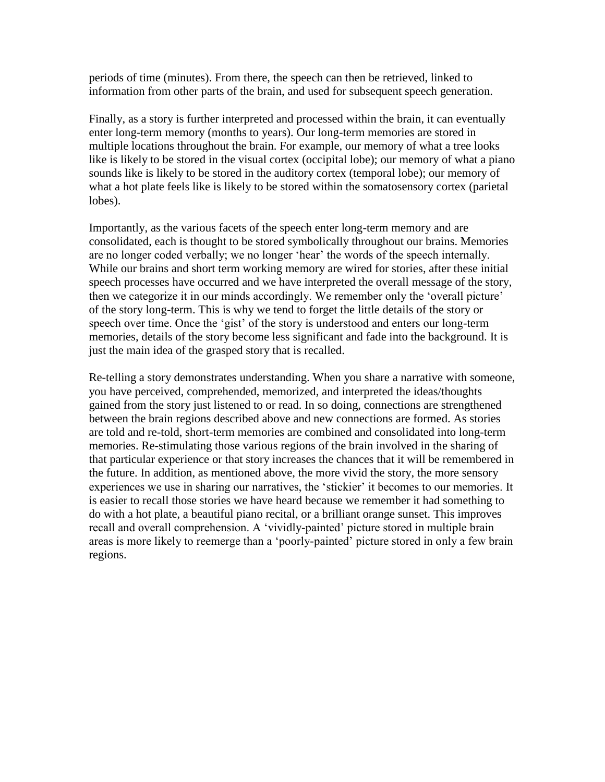periods of time (minutes). From there, the speech can then be retrieved, linked to information from other parts of the brain, and used for subsequent speech generation.

Finally, as a story is further interpreted and processed within the brain, it can eventually enter long-term memory (months to years). Our long-term memories are stored in multiple locations throughout the brain. For example, our memory of what a tree looks like is likely to be stored in the visual cortex (occipital lobe); our memory of what a piano sounds like is likely to be stored in the auditory cortex (temporal lobe); our memory of what a hot plate feels like is likely to be stored within the somatosensory cortex (parietal lobes).

Importantly, as the various facets of the speech enter long-term memory and are consolidated, each is thought to be stored symbolically throughout our brains. Memories are no longer coded verbally; we no longer "hear" the words of the speech internally. While our brains and short term working memory are wired for stories, after these initial speech processes have occurred and we have interpreted the overall message of the story, then we categorize it in our minds accordingly. We remember only the "overall picture" of the story long-term. This is why we tend to forget the little details of the story or speech over time. Once the "gist" of the story is understood and enters our long-term memories, details of the story become less significant and fade into the background. It is just the main idea of the grasped story that is recalled.

Re-telling a story demonstrates understanding. When you share a narrative with someone, you have perceived, comprehended, memorized, and interpreted the ideas/thoughts gained from the story just listened to or read. In so doing, connections are strengthened between the brain regions described above and new connections are formed. As stories are told and re-told, short-term memories are combined and consolidated into long-term memories. Re-stimulating those various regions of the brain involved in the sharing of that particular experience or that story increases the chances that it will be remembered in the future. In addition, as mentioned above, the more vivid the story, the more sensory experiences we use in sharing our narratives, the 'stickier' it becomes to our memories. It is easier to recall those stories we have heard because we remember it had something to do with a hot plate, a beautiful piano recital, or a brilliant orange sunset. This improves recall and overall comprehension. A "vividly-painted" picture stored in multiple brain areas is more likely to reemerge than a "poorly-painted" picture stored in only a few brain regions.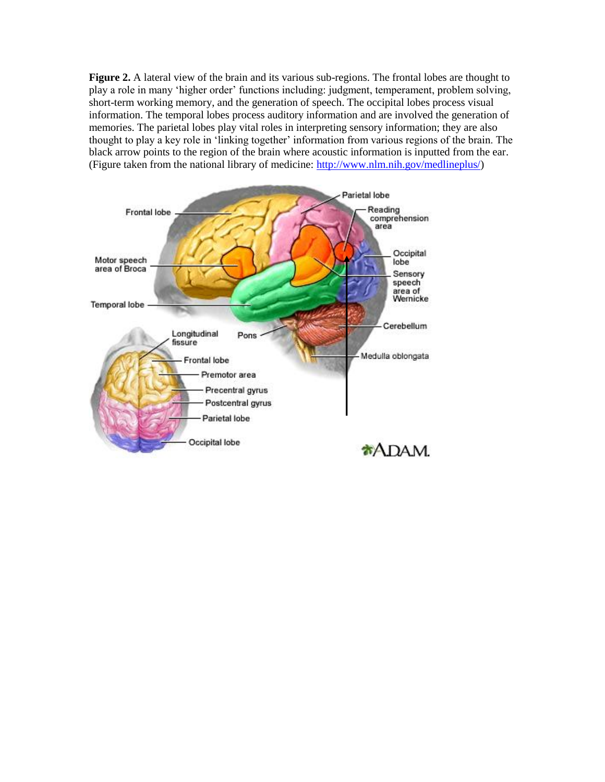**Figure 2.** A lateral view of the brain and its various sub-regions. The frontal lobes are thought to play a role in many "higher order" functions including: judgment, temperament, problem solving, short-term working memory, and the generation of speech. The occipital lobes process visual information. The temporal lobes process auditory information and are involved the generation of memories. The parietal lobes play vital roles in interpreting sensory information; they are also thought to play a key role in "linking together" information from various regions of the brain. The black arrow points to the region of the brain where acoustic information is inputted from the ear. (Figure taken from the national library of medicine: [http://www.nlm.nih.gov/medlineplus/\)](http://www.nlm.nih.gov/medlineplus/)

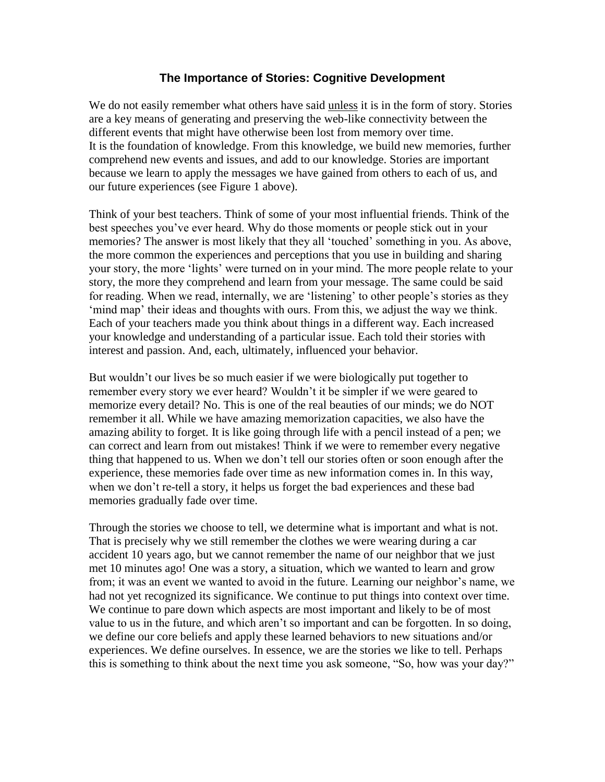### **The Importance of Stories: Cognitive Development**

<span id="page-9-0"></span>We do not easily remember what others have said unless it is in the form of story. Stories are a key means of generating and preserving the web-like connectivity between the different events that might have otherwise been lost from memory over time. It is the foundation of knowledge. From this knowledge, we build new memories, further comprehend new events and issues, and add to our knowledge. Stories are important because we learn to apply the messages we have gained from others to each of us, and our future experiences (see Figure 1 above).

Think of your best teachers. Think of some of your most influential friends. Think of the best speeches you"ve ever heard. Why do those moments or people stick out in your memories? The answer is most likely that they all "touched" something in you. As above, the more common the experiences and perceptions that you use in building and sharing your story, the more "lights" were turned on in your mind. The more people relate to your story, the more they comprehend and learn from your message. The same could be said for reading. When we read, internally, we are 'listening' to other people's stories as they "mind map" their ideas and thoughts with ours. From this, we adjust the way we think. Each of your teachers made you think about things in a different way. Each increased your knowledge and understanding of a particular issue. Each told their stories with interest and passion. And, each, ultimately, influenced your behavior.

But wouldn"t our lives be so much easier if we were biologically put together to remember every story we ever heard? Wouldn't it be simpler if we were geared to memorize every detail? No. This is one of the real beauties of our minds; we do NOT remember it all. While we have amazing memorization capacities, we also have the amazing ability to forget. It is like going through life with a pencil instead of a pen; we can correct and learn from out mistakes! Think if we were to remember every negative thing that happened to us. When we don"t tell our stories often or soon enough after the experience, these memories fade over time as new information comes in. In this way, when we don't re-tell a story, it helps us forget the bad experiences and these bad memories gradually fade over time.

Through the stories we choose to tell, we determine what is important and what is not. That is precisely why we still remember the clothes we were wearing during a car accident 10 years ago, but we cannot remember the name of our neighbor that we just met 10 minutes ago! One was a story, a situation, which we wanted to learn and grow from; it was an event we wanted to avoid in the future. Learning our neighbor"s name, we had not yet recognized its significance. We continue to put things into context over time. We continue to pare down which aspects are most important and likely to be of most value to us in the future, and which aren"t so important and can be forgotten. In so doing, we define our core beliefs and apply these learned behaviors to new situations and/or experiences. We define ourselves. In essence, we are the stories we like to tell. Perhaps this is something to think about the next time you ask someone, "So, how was your day?"